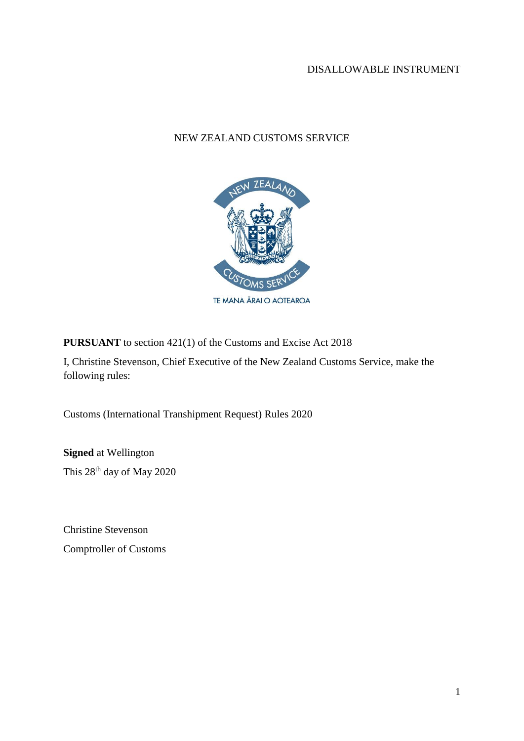## NEW ZEALAND CUSTOMS SERVICE



**PURSUANT** to section 421(1) of the Customs and Excise Act 2018

I, Christine Stevenson, Chief Executive of the New Zealand Customs Service, make the following rules:

Customs (International Transhipment Request) Rules 2020

**Signed** at Wellington This 28th day of May 2020

Christine Stevenson Comptroller of Customs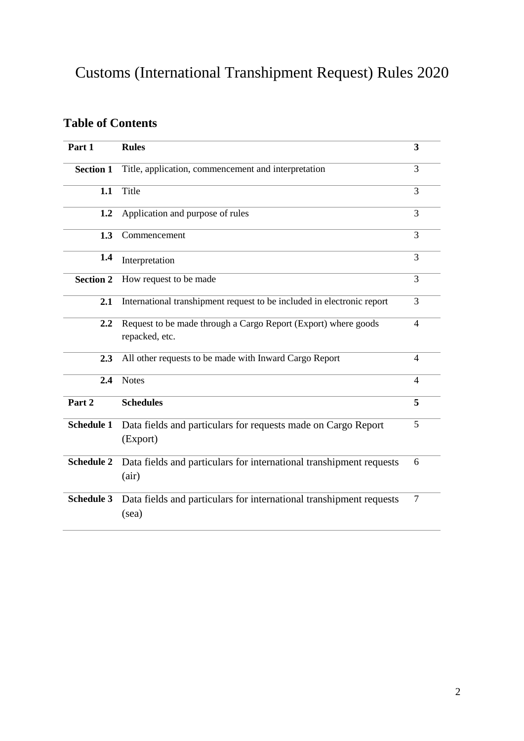# Customs (International Transhipment Request) Rules 2020

## **Table of Contents**

| Part 1            | <b>Rules</b>                                                                     | 3 |
|-------------------|----------------------------------------------------------------------------------|---|
| <b>Section 1</b>  | Title, application, commencement and interpretation                              | 3 |
| 1.1               | Title                                                                            | 3 |
| 1.2               | Application and purpose of rules                                                 | 3 |
| 1.3               | Commencement                                                                     | 3 |
| 1.4               | Interpretation                                                                   | 3 |
| <b>Section 2</b>  | How request to be made                                                           | 3 |
| 2.1               | International transhipment request to be included in electronic report           | 3 |
| 2.2               | Request to be made through a Cargo Report (Export) where goods<br>repacked, etc. | 4 |
| 2.3               | All other requests to be made with Inward Cargo Report                           | 4 |
| 2.4               | <b>Notes</b>                                                                     | 4 |
| Part 2            | <b>Schedules</b>                                                                 | 5 |
| <b>Schedule 1</b> | Data fields and particulars for requests made on Cargo Report<br>(Export)        | 5 |
| <b>Schedule 2</b> | Data fields and particulars for international transhipment requests<br>(air)     | 6 |
| <b>Schedule 3</b> | Data fields and particulars for international transhipment requests<br>(sea)     | 7 |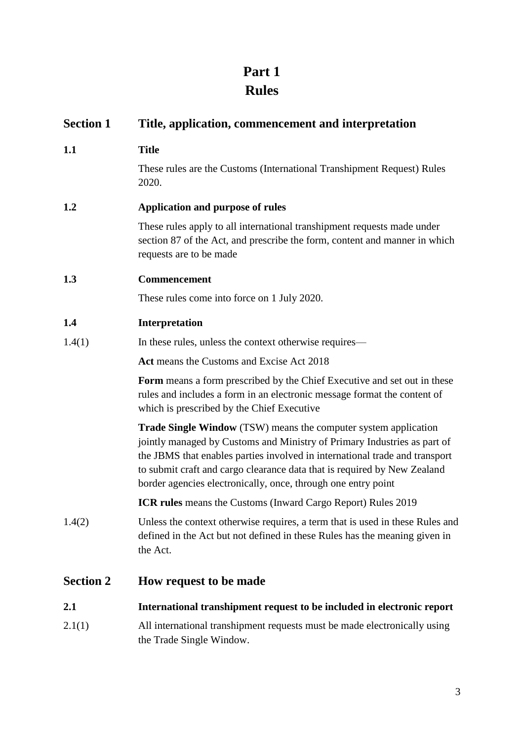## **Part 1 Rules**

| <b>Section 1</b> | Title, application, commencement and interpretation                                                                                                                                                                                                                                                                                                                            |  |
|------------------|--------------------------------------------------------------------------------------------------------------------------------------------------------------------------------------------------------------------------------------------------------------------------------------------------------------------------------------------------------------------------------|--|
| 1.1              | <b>Title</b>                                                                                                                                                                                                                                                                                                                                                                   |  |
|                  | These rules are the Customs (International Transhipment Request) Rules<br>2020.                                                                                                                                                                                                                                                                                                |  |
| 1.2              | Application and purpose of rules                                                                                                                                                                                                                                                                                                                                               |  |
|                  | These rules apply to all international transhipment requests made under<br>section 87 of the Act, and prescribe the form, content and manner in which<br>requests are to be made                                                                                                                                                                                               |  |
| 1.3              | Commencement                                                                                                                                                                                                                                                                                                                                                                   |  |
|                  | These rules come into force on 1 July 2020.                                                                                                                                                                                                                                                                                                                                    |  |
| 1.4              | Interpretation                                                                                                                                                                                                                                                                                                                                                                 |  |
| 1.4(1)           | In these rules, unless the context otherwise requires—                                                                                                                                                                                                                                                                                                                         |  |
|                  | Act means the Customs and Excise Act 2018                                                                                                                                                                                                                                                                                                                                      |  |
|                  | Form means a form prescribed by the Chief Executive and set out in these<br>rules and includes a form in an electronic message format the content of<br>which is prescribed by the Chief Executive                                                                                                                                                                             |  |
|                  | <b>Trade Single Window</b> (TSW) means the computer system application<br>jointly managed by Customs and Ministry of Primary Industries as part of<br>the JBMS that enables parties involved in international trade and transport<br>to submit craft and cargo clearance data that is required by New Zealand<br>border agencies electronically, once, through one entry point |  |
|                  | ICR rules means the Customs (Inward Cargo Report) Rules 2019                                                                                                                                                                                                                                                                                                                   |  |
| 1.4(2)           | Unless the context otherwise requires, a term that is used in these Rules and<br>defined in the Act but not defined in these Rules has the meaning given in<br>the Act.                                                                                                                                                                                                        |  |
| <b>Section 2</b> | How request to be made                                                                                                                                                                                                                                                                                                                                                         |  |
| 2.1              | International transhipment request to be included in electronic report                                                                                                                                                                                                                                                                                                         |  |
|                  |                                                                                                                                                                                                                                                                                                                                                                                |  |

2.1(1) All international transhipment requests must be made electronically using the Trade Single Window.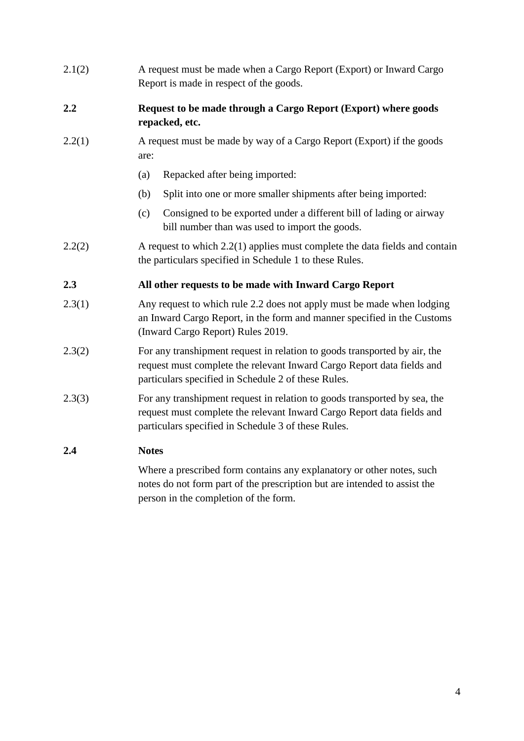2.1(2) A request must be made when a Cargo Report (Export) or Inward Cargo Report is made in respect of the goods.

## **2.2 Request to be made through a Cargo Report (Export) where goods repacked, etc.**

- 2.2(1) A request must be made by way of a Cargo Report (Export) if the goods are:
	- (a) Repacked after being imported:
	- (b) Split into one or more smaller shipments after being imported:
	- (c) Consigned to be exported under a different bill of lading or airway bill number than was used to import the goods.
- 2.2(2) A request to which 2.2(1) applies must complete the data fields and contain the particulars specified in Schedule 1 to these Rules.

## **2.3 All other requests to be made with Inward Cargo Report**

- 2.3(1) Any request to which rule 2.2 does not apply must be made when lodging an Inward Cargo Report, in the form and manner specified in the Customs (Inward Cargo Report) Rules 2019.
- 2.3(2) For any transhipment request in relation to goods transported by air, the request must complete the relevant Inward Cargo Report data fields and particulars specified in Schedule 2 of these Rules.
- 2.3(3) For any transhipment request in relation to goods transported by sea, the request must complete the relevant Inward Cargo Report data fields and particulars specified in Schedule 3 of these Rules.

## **2.4 Notes**

Where a prescribed form contains any explanatory or other notes, such notes do not form part of the prescription but are intended to assist the person in the completion of the form.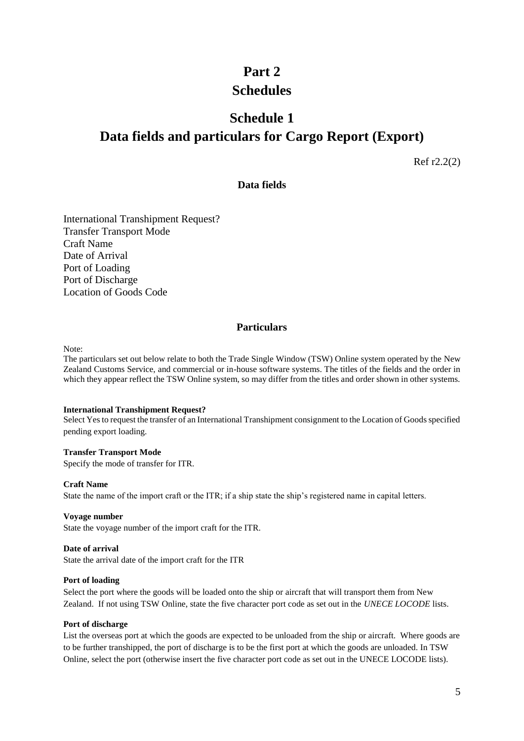## **Part 2 Schedules**

## **Schedule 1 Data fields and particulars for Cargo Report (Export)**

Ref r2.2(2)

### **Data fields**

International Transhipment Request? Transfer Transport Mode Craft Name Date of Arrival Port of Loading Port of Discharge Location of Goods Code

### **Particulars**

Note:

The particulars set out below relate to both the Trade Single Window (TSW) Online system operated by the New Zealand Customs Service, and commercial or in-house software systems. The titles of the fields and the order in which they appear reflect the TSW Online system, so may differ from the titles and order shown in other systems.

#### **International Transhipment Request?**

Select Yes to request the transfer of an International Transhipment consignment to the Location of Goods specified pending export loading.

#### **Transfer Transport Mode**

Specify the mode of transfer for ITR.

#### **Craft Name**

State the name of the import craft or the ITR; if a ship state the ship's registered name in capital letters.

#### **Voyage number**

State the voyage number of the import craft for the ITR.

#### **Date of arrival**

State the arrival date of the import craft for the ITR

#### **Port of loading**

Select the port where the goods will be loaded onto the ship or aircraft that will transport them from New Zealand. If not using TSW Online, state the five character port code as set out in the *UNECE LOCODE* lists.

#### **Port of discharge**

List the overseas port at which the goods are expected to be unloaded from the ship or aircraft. Where goods are to be further transhipped, the port of discharge is to be the first port at which the goods are unloaded. In TSW Online, select the port (otherwise insert the five character port code as set out in the UNECE LOCODE lists).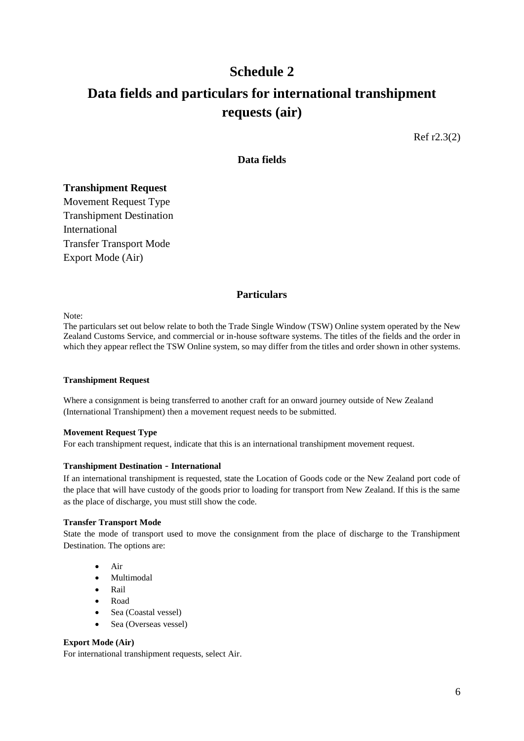## **Schedule 2 Data fields and particulars for international transhipment requests (air)**

Ref r2.3(2)

### **Data fields**

#### **Transhipment Request**

Movement Request Type Transhipment Destination International Transfer Transport Mode Export Mode (Air)

### **Particulars**

Note:

The particulars set out below relate to both the Trade Single Window (TSW) Online system operated by the New Zealand Customs Service, and commercial or in-house software systems. The titles of the fields and the order in which they appear reflect the TSW Online system, so may differ from the titles and order shown in other systems.

#### **Transhipment Request**

Where a consignment is being transferred to another craft for an onward journey outside of New Zealand (International Transhipment) then a movement request needs to be submitted.

#### **Movement Request Type**

For each transhipment request, indicate that this is an international transhipment movement request.

#### **Transhipment Destination** - **International**

If an international transhipment is requested, state the Location of Goods code or the New Zealand port code of the place that will have custody of the goods prior to loading for transport from New Zealand. If this is the same as the place of discharge, you must still show the code.

#### **Transfer Transport Mode**

State the mode of transport used to move the consignment from the place of discharge to the Transhipment Destination. The options are:

- Air
- Multimodal
- Rail
- Road
- Sea (Coastal vessel)
- Sea (Overseas vessel)

#### **Export Mode (Air)**

For international transhipment requests, select Air.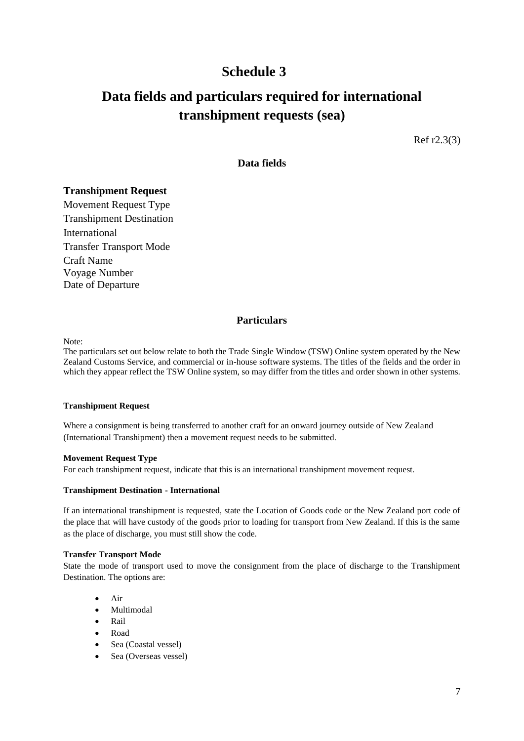## **Schedule 3**

## **Data fields and particulars required for international transhipment requests (sea)**

Ref r2.3(3)

### **Data fields**

### **Transhipment Request**

Movement Request Type Transhipment Destination International Transfer Transport Mode Craft Name Voyage Number Date of Departure

### **Particulars**

Note:

The particulars set out below relate to both the Trade Single Window (TSW) Online system operated by the New Zealand Customs Service, and commercial or in-house software systems. The titles of the fields and the order in which they appear reflect the TSW Online system, so may differ from the titles and order shown in other systems.

#### **Transhipment Request**

Where a consignment is being transferred to another craft for an onward journey outside of New Zealand (International Transhipment) then a movement request needs to be submitted.

#### **Movement Request Type**

For each transhipment request, indicate that this is an international transhipment movement request.

#### **Transhipment Destination - International**

If an international transhipment is requested, state the Location of Goods code or the New Zealand port code of the place that will have custody of the goods prior to loading for transport from New Zealand. If this is the same as the place of discharge, you must still show the code.

#### **Transfer Transport Mode**

State the mode of transport used to move the consignment from the place of discharge to the Transhipment Destination. The options are:

- Air
- Multimodal
- $\bullet$  Rail
- Road
- Sea (Coastal vessel)
- Sea (Overseas vessel)